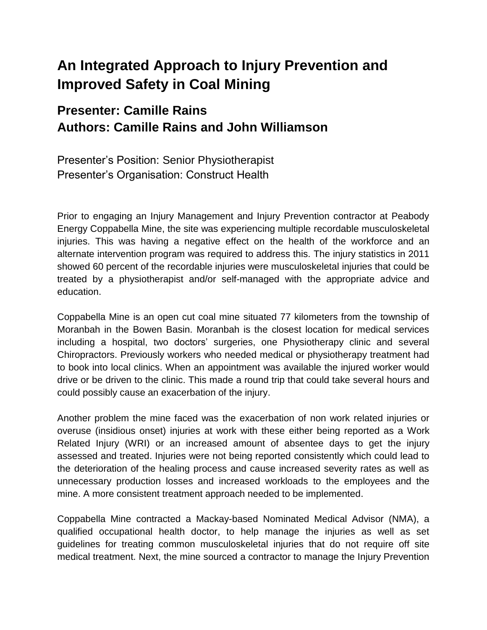# **An Integrated Approach to Injury Prevention and Improved Safety in Coal Mining**

## **Presenter: Camille Rains Authors: Camille Rains and John Williamson**

Presenter's Position: Senior Physiotherapist Presenter's Organisation: Construct Health

Prior to engaging an Injury Management and Injury Prevention contractor at Peabody Energy Coppabella Mine, the site was experiencing multiple recordable musculoskeletal injuries. This was having a negative effect on the health of the workforce and an alternate intervention program was required to address this. The injury statistics in 2011 showed 60 percent of the recordable injuries were musculoskeletal injuries that could be treated by a physiotherapist and/or self-managed with the appropriate advice and education.

Coppabella Mine is an open cut coal mine situated 77 kilometers from the township of Moranbah in the Bowen Basin. Moranbah is the closest location for medical services including a hospital, two doctors' surgeries, one Physiotherapy clinic and several Chiropractors. Previously workers who needed medical or physiotherapy treatment had to book into local clinics. When an appointment was available the injured worker would drive or be driven to the clinic. This made a round trip that could take several hours and could possibly cause an exacerbation of the injury.

Another problem the mine faced was the exacerbation of non work related injuries or overuse (insidious onset) injuries at work with these either being reported as a Work Related Injury (WRI) or an increased amount of absentee days to get the injury assessed and treated. Injuries were not being reported consistently which could lead to the deterioration of the healing process and cause increased severity rates as well as unnecessary production losses and increased workloads to the employees and the mine. A more consistent treatment approach needed to be implemented.

Coppabella Mine contracted a Mackay-based Nominated Medical Advisor (NMA), a qualified occupational health doctor, to help manage the injuries as well as set guidelines for treating common musculoskeletal injuries that do not require off site medical treatment. Next, the mine sourced a contractor to manage the Injury Prevention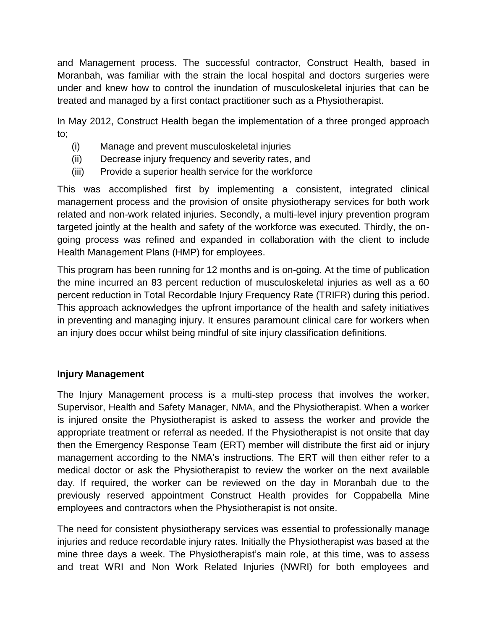and Management process. The successful contractor, Construct Health, based in Moranbah, was familiar with the strain the local hospital and doctors surgeries were under and knew how to control the inundation of musculoskeletal injuries that can be treated and managed by a first contact practitioner such as a Physiotherapist.

In May 2012, Construct Health began the implementation of a three pronged approach to;

- (i) Manage and prevent musculoskeletal injuries
- (ii) Decrease injury frequency and severity rates, and
- (iii) Provide a superior health service for the workforce

This was accomplished first by implementing a consistent, integrated clinical management process and the provision of onsite physiotherapy services for both work related and non-work related injuries. Secondly, a multi-level injury prevention program targeted jointly at the health and safety of the workforce was executed. Thirdly, the ongoing process was refined and expanded in collaboration with the client to include Health Management Plans (HMP) for employees.

This program has been running for 12 months and is on-going. At the time of publication the mine incurred an 83 percent reduction of musculoskeletal injuries as well as a 60 percent reduction in Total Recordable Injury Frequency Rate (TRIFR) during this period. This approach acknowledges the upfront importance of the health and safety initiatives in preventing and managing injury. It ensures paramount clinical care for workers when an injury does occur whilst being mindful of site injury classification definitions.

### **Injury Management**

The Injury Management process is a multi-step process that involves the worker, Supervisor, Health and Safety Manager, NMA, and the Physiotherapist. When a worker is injured onsite the Physiotherapist is asked to assess the worker and provide the appropriate treatment or referral as needed. If the Physiotherapist is not onsite that day then the Emergency Response Team (ERT) member will distribute the first aid or injury management according to the NMA's instructions. The ERT will then either refer to a medical doctor or ask the Physiotherapist to review the worker on the next available day. If required, the worker can be reviewed on the day in Moranbah due to the previously reserved appointment Construct Health provides for Coppabella Mine employees and contractors when the Physiotherapist is not onsite.

The need for consistent physiotherapy services was essential to professionally manage injuries and reduce recordable injury rates. Initially the Physiotherapist was based at the mine three days a week. The Physiotherapist's main role, at this time, was to assess and treat WRI and Non Work Related Injuries (NWRI) for both employees and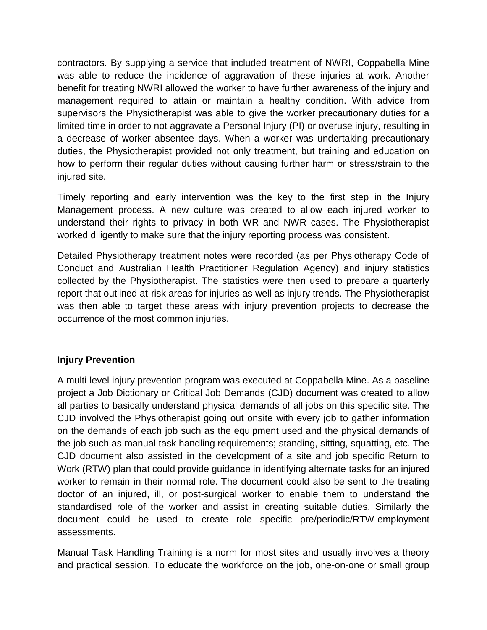contractors. By supplying a service that included treatment of NWRI, Coppabella Mine was able to reduce the incidence of aggravation of these injuries at work. Another benefit for treating NWRI allowed the worker to have further awareness of the injury and management required to attain or maintain a healthy condition. With advice from supervisors the Physiotherapist was able to give the worker precautionary duties for a limited time in order to not aggravate a Personal Injury (PI) or overuse injury, resulting in a decrease of worker absentee days. When a worker was undertaking precautionary duties, the Physiotherapist provided not only treatment, but training and education on how to perform their regular duties without causing further harm or stress/strain to the injured site.

Timely reporting and early intervention was the key to the first step in the Injury Management process. A new culture was created to allow each injured worker to understand their rights to privacy in both WR and NWR cases. The Physiotherapist worked diligently to make sure that the injury reporting process was consistent.

Detailed Physiotherapy treatment notes were recorded (as per Physiotherapy Code of Conduct and Australian Health Practitioner Regulation Agency) and injury statistics collected by the Physiotherapist. The statistics were then used to prepare a quarterly report that outlined at-risk areas for injuries as well as injury trends. The Physiotherapist was then able to target these areas with injury prevention projects to decrease the occurrence of the most common injuries.

#### **Injury Prevention**

A multi-level injury prevention program was executed at Coppabella Mine. As a baseline project a Job Dictionary or Critical Job Demands (CJD) document was created to allow all parties to basically understand physical demands of all jobs on this specific site. The CJD involved the Physiotherapist going out onsite with every job to gather information on the demands of each job such as the equipment used and the physical demands of the job such as manual task handling requirements; standing, sitting, squatting, etc. The CJD document also assisted in the development of a site and job specific Return to Work (RTW) plan that could provide guidance in identifying alternate tasks for an injured worker to remain in their normal role. The document could also be sent to the treating doctor of an injured, ill, or post-surgical worker to enable them to understand the standardised role of the worker and assist in creating suitable duties. Similarly the document could be used to create role specific pre/periodic/RTW-employment assessments.

Manual Task Handling Training is a norm for most sites and usually involves a theory and practical session. To educate the workforce on the job, one-on-one or small group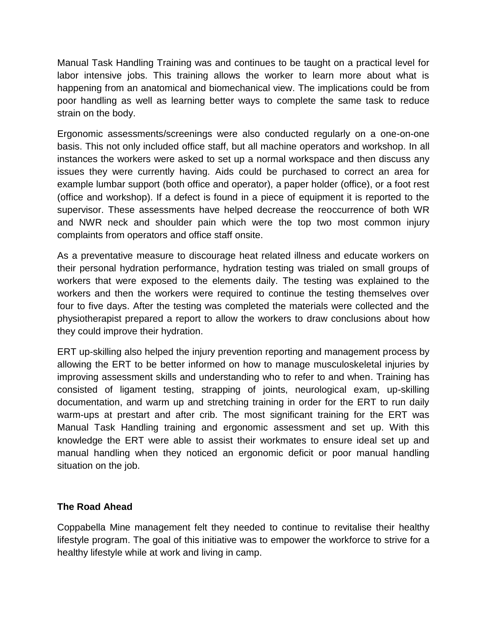Manual Task Handling Training was and continues to be taught on a practical level for labor intensive jobs. This training allows the worker to learn more about what is happening from an anatomical and biomechanical view. The implications could be from poor handling as well as learning better ways to complete the same task to reduce strain on the body.

Ergonomic assessments/screenings were also conducted regularly on a one-on-one basis. This not only included office staff, but all machine operators and workshop. In all instances the workers were asked to set up a normal workspace and then discuss any issues they were currently having. Aids could be purchased to correct an area for example lumbar support (both office and operator), a paper holder (office), or a foot rest (office and workshop). If a defect is found in a piece of equipment it is reported to the supervisor. These assessments have helped decrease the reoccurrence of both WR and NWR neck and shoulder pain which were the top two most common injury complaints from operators and office staff onsite.

As a preventative measure to discourage heat related illness and educate workers on their personal hydration performance, hydration testing was trialed on small groups of workers that were exposed to the elements daily. The testing was explained to the workers and then the workers were required to continue the testing themselves over four to five days. After the testing was completed the materials were collected and the physiotherapist prepared a report to allow the workers to draw conclusions about how they could improve their hydration.

ERT up-skilling also helped the injury prevention reporting and management process by allowing the ERT to be better informed on how to manage musculoskeletal injuries by improving assessment skills and understanding who to refer to and when. Training has consisted of ligament testing, strapping of joints, neurological exam, up-skilling documentation, and warm up and stretching training in order for the ERT to run daily warm-ups at prestart and after crib. The most significant training for the ERT was Manual Task Handling training and ergonomic assessment and set up. With this knowledge the ERT were able to assist their workmates to ensure ideal set up and manual handling when they noticed an ergonomic deficit or poor manual handling situation on the job.

#### **The Road Ahead**

Coppabella Mine management felt they needed to continue to revitalise their healthy lifestyle program. The goal of this initiative was to empower the workforce to strive for a healthy lifestyle while at work and living in camp.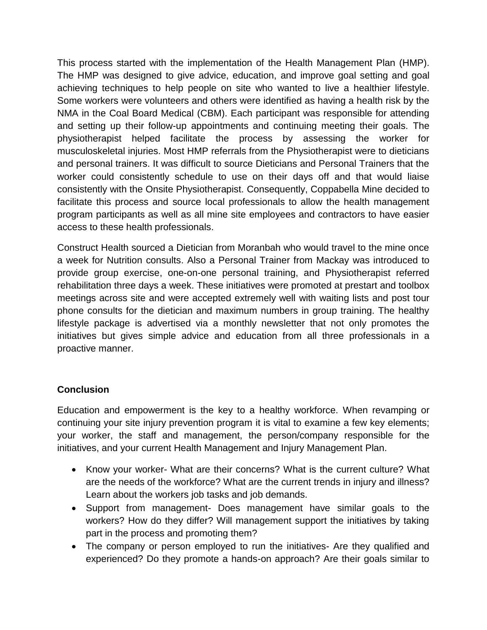This process started with the implementation of the Health Management Plan (HMP). The HMP was designed to give advice, education, and improve goal setting and goal achieving techniques to help people on site who wanted to live a healthier lifestyle. Some workers were volunteers and others were identified as having a health risk by the NMA in the Coal Board Medical (CBM). Each participant was responsible for attending and setting up their follow-up appointments and continuing meeting their goals. The physiotherapist helped facilitate the process by assessing the worker for musculoskeletal injuries. Most HMP referrals from the Physiotherapist were to dieticians and personal trainers. It was difficult to source Dieticians and Personal Trainers that the worker could consistently schedule to use on their days off and that would liaise consistently with the Onsite Physiotherapist. Consequently, Coppabella Mine decided to facilitate this process and source local professionals to allow the health management program participants as well as all mine site employees and contractors to have easier access to these health professionals.

Construct Health sourced a Dietician from Moranbah who would travel to the mine once a week for Nutrition consults. Also a Personal Trainer from Mackay was introduced to provide group exercise, one-on-one personal training, and Physiotherapist referred rehabilitation three days a week. These initiatives were promoted at prestart and toolbox meetings across site and were accepted extremely well with waiting lists and post tour phone consults for the dietician and maximum numbers in group training. The healthy lifestyle package is advertised via a monthly newsletter that not only promotes the initiatives but gives simple advice and education from all three professionals in a proactive manner.

#### **Conclusion**

Education and empowerment is the key to a healthy workforce. When revamping or continuing your site injury prevention program it is vital to examine a few key elements; your worker, the staff and management, the person/company responsible for the initiatives, and your current Health Management and Injury Management Plan.

- Know your worker- What are their concerns? What is the current culture? What are the needs of the workforce? What are the current trends in injury and illness? Learn about the workers job tasks and job demands.
- Support from management- Does management have similar goals to the workers? How do they differ? Will management support the initiatives by taking part in the process and promoting them?
- The company or person employed to run the initiatives- Are they qualified and experienced? Do they promote a hands-on approach? Are their goals similar to